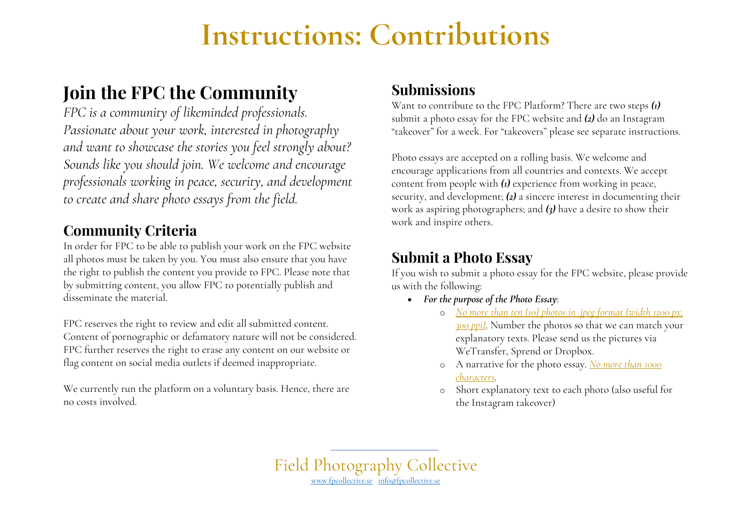# **Instructions: Contributions**

# **Join the FPC the Community**

*FPC is a community of likeminded professionals. Passionate about your work, interested in photography and want to showcase the stories you feel strongly about? Sounds like you should join. We welcome and encourage professionals working in peace, security, and development to create and share photo essays from the field.*

#### **Community Criteria**

In order for FPC to be able to publish your work on the FPC website all photos must be taken by you. You must also ensure that you have the right to publish the content you provide to FPC. Please note that by submitting content, you allow FPC to potentially publish and disseminate the material.

FPC reserves the right to review and edit all submitted content. Content of pornographic or defamatory nature will not be considered. FPC further reserves the right to erase any content on our website or flag content on social media outlets if deemed inappropriate.

We currently run the platform on a voluntary basis. Hence, there are no costs involved.

#### **Submissions**

Want to contribute to the FPC Platform? There are two steps *(1)*  submit a photo essay for the FPC website and *(2)* do an Instagram "takeover" for a week. For "takeovers" please see separate instructions.

Photo essays are accepted on a rolling basis. We welcome and encourage applications from all countries and contexts. We accept content from people with *(1)* experience from working in peace, security, and development; *(2)* a sincere interest in documenting their work as aspiring photographers; and *(3)* have a desire to show their work and inspire others.

### **Submit a Photo Essay**

If you wish to submit a photo essay for the FPC website, please provide us with the following:

- *For the purpose of the Photo Essay*:
	- o *No more than ten (10) photos in .jpeg format (width 1200 px, 300 ppi)*. Number the photos so that we can match your explanatory texts. Please send us the pictures via WeTransfer, Sprend or Dropbox.
	- o A narrative for the photo essay. *No more than 1000 characters.*
	- o Short explanatory text to each photo (also useful for the Instagram takeover)

Field Photography Collective www.fpcollective.se info@fpcollective.se